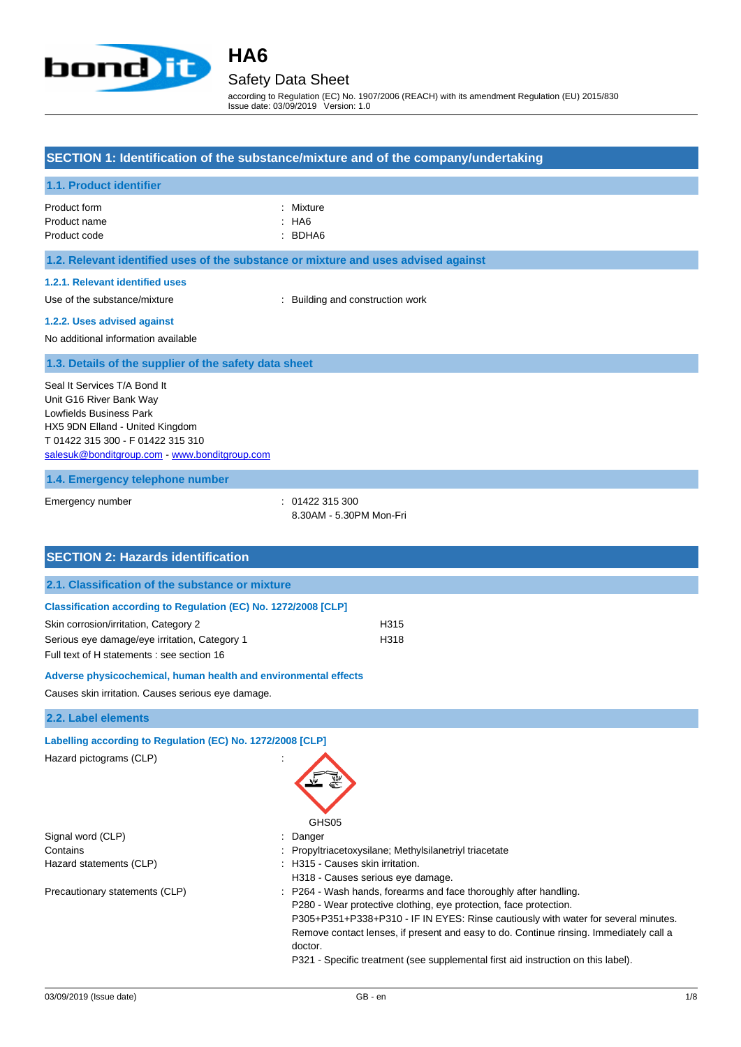

Safety Data Sheet

according to Regulation (EC) No. 1907/2006 (REACH) with its amendment Regulation (EU) 2015/830 Issue date: 03/09/2019 Version: 1.0

#### **SECTION 1: Identification of the substance/mixture and of the company/undertaking**

#### **1.1. Product identifier**

| Product form | : Mixture |
|--------------|-----------|
| Product name | : HA6     |
| Product code | : BDHA6   |

#### **1.2. Relevant identified uses of the substance or mixture and uses advised against**

#### **1.2.1. Relevant identified uses**

Use of the substance/mixture : Building and construction work

#### **1.2.2. Uses advised against**

No additional information available

#### **1.3. Details of the supplier of the safety data sheet**

Seal It Services T/A Bond It Unit G16 River Bank Way Lowfields Business Park HX5 9DN Elland - United Kingdom T 01422 315 300 - F 01422 315 310 [salesuk@bonditgroup.com](mailto:salesuk@bonditgroup.com) - [www.bonditgroup.com](http://www.bonditgroup.com/)

#### **1.4. Emergency telephone number**

Emergency number : 01422 315 300

8.30AM - 5.30PM Mon-Fri

| <b>SECTION 2: Hazards identification</b>                        |                                                                                                                                                                                                                                                                                                                                                                                                                        |
|-----------------------------------------------------------------|------------------------------------------------------------------------------------------------------------------------------------------------------------------------------------------------------------------------------------------------------------------------------------------------------------------------------------------------------------------------------------------------------------------------|
| 2.1. Classification of the substance or mixture                 |                                                                                                                                                                                                                                                                                                                                                                                                                        |
| Classification according to Regulation (EC) No. 1272/2008 [CLP] |                                                                                                                                                                                                                                                                                                                                                                                                                        |
| Skin corrosion/irritation, Category 2                           | H315                                                                                                                                                                                                                                                                                                                                                                                                                   |
| Serious eye damage/eye irritation, Category 1                   | H318                                                                                                                                                                                                                                                                                                                                                                                                                   |
| Full text of H statements : see section 16                      |                                                                                                                                                                                                                                                                                                                                                                                                                        |
| Adverse physicochemical, human health and environmental effects |                                                                                                                                                                                                                                                                                                                                                                                                                        |
| Causes skin irritation. Causes serious eye damage.              |                                                                                                                                                                                                                                                                                                                                                                                                                        |
| 2.2. Label elements                                             |                                                                                                                                                                                                                                                                                                                                                                                                                        |
| Labelling according to Regulation (EC) No. 1272/2008 [CLP]      |                                                                                                                                                                                                                                                                                                                                                                                                                        |
| Hazard pictograms (CLP)                                         | GHS <sub>05</sub>                                                                                                                                                                                                                                                                                                                                                                                                      |
| Signal word (CLP)                                               | Danger                                                                                                                                                                                                                                                                                                                                                                                                                 |
| Contains                                                        | Propyltriacetoxysilane; Methylsilanetriyl triacetate                                                                                                                                                                                                                                                                                                                                                                   |
| Hazard statements (CLP)                                         | : H315 - Causes skin irritation.<br>H318 - Causes serious eye damage.                                                                                                                                                                                                                                                                                                                                                  |
| Precautionary statements (CLP)                                  | : P264 - Wash hands, forearms and face thoroughly after handling.<br>P280 - Wear protective clothing, eye protection, face protection.<br>P305+P351+P338+P310 - IF IN EYES: Rinse cautiously with water for several minutes.<br>Remove contact lenses, if present and easy to do. Continue rinsing. Immediately call a<br>doctor.<br>P321 - Specific treatment (see supplemental first aid instruction on this label). |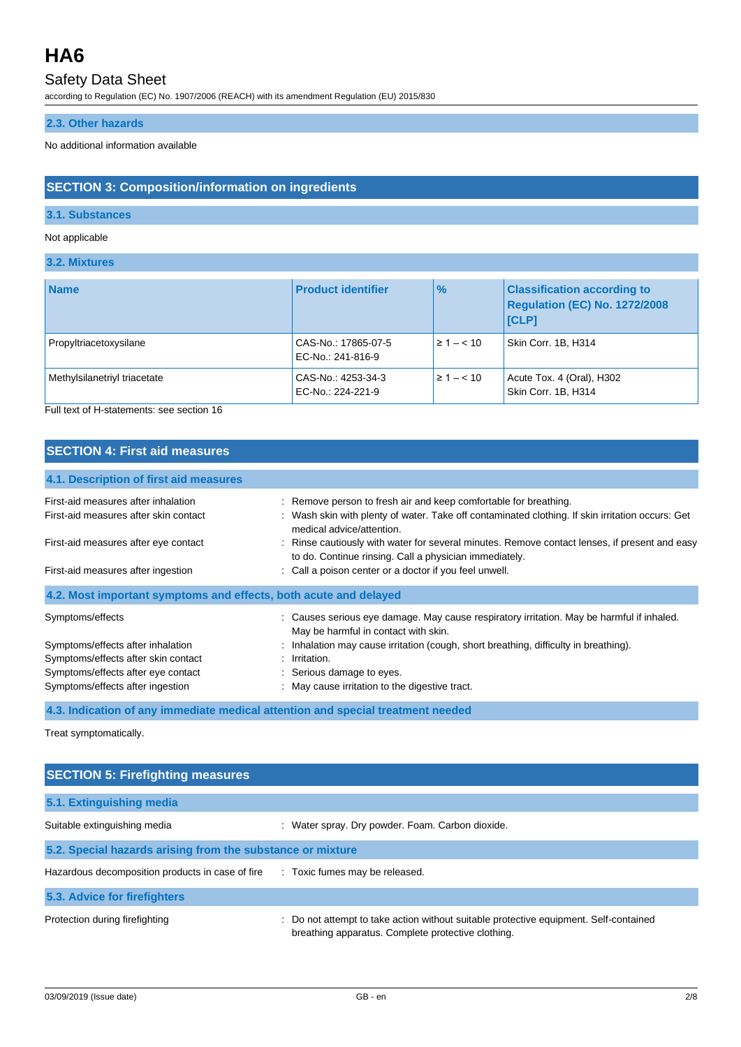## Safety Data Sheet

according to Regulation (EC) No. 1907/2006 (REACH) with its amendment Regulation (EU) 2015/830

### **2.3. Other hazards**

No additional information available

### **SECTION 3: Composition/information on ingredients**

#### **3.1. Substances**

#### Not applicable

#### **3.2. Mixtures**

| <b>Name</b>                  | <b>Product identifier</b>                | $\frac{9}{6}$   | <b>Classification according to</b><br>Regulation (EC) No. 1272/2008<br><b>ICLPI</b> |
|------------------------------|------------------------------------------|-----------------|-------------------------------------------------------------------------------------|
| Propyltriacetoxysilane       | CAS-No.: 17865-07-5<br>EC-No.: 241-816-9 | $\geq 1 - < 10$ | Skin Corr. 1B. H314                                                                 |
| Methylsilanetriyl triacetate | CAS-No.: 4253-34-3<br>EC-No.: 224-221-9  | $\geq 1 - < 10$ | Acute Tox. 4 (Oral), H302<br>Skin Corr. 1B, H314                                    |

Full text of H-statements: see section 16

#### **SECTION 4: First aid measures**

| 4.1. Description of first aid measures                           |                                                                                                                                                         |
|------------------------------------------------------------------|---------------------------------------------------------------------------------------------------------------------------------------------------------|
| First-aid measures after inhalation                              | : Remove person to fresh air and keep comfortable for breathing.                                                                                        |
| First-aid measures after skin contact                            | : Wash skin with plenty of water. Take off contaminated clothing. If skin irritation occurs: Get<br>medical advice/attention.                           |
| First-aid measures after eye contact                             | : Rinse cautiously with water for several minutes. Remove contact lenses, if present and easy<br>to do. Continue rinsing. Call a physician immediately. |
| First-aid measures after ingestion                               | : Call a poison center or a doctor if you feel unwell.                                                                                                  |
| 4.2. Most important symptoms and effects, both acute and delayed |                                                                                                                                                         |
| Symptoms/effects                                                 | : Causes serious eye damage. May cause respiratory irritation. May be harmful if inhaled.<br>May be harmful in contact with skin.                       |
| Symptoms/effects after inhalation                                | : Inhalation may cause irritation (cough, short breathing, difficulty in breathing).                                                                    |
| Symptoms/effects after skin contact                              | $:$ Irritation.                                                                                                                                         |
| Symptoms/effects after eye contact                               | : Serious damage to eyes.                                                                                                                               |
| Symptoms/effects after ingestion                                 | : May cause irritation to the digestive tract.                                                                                                          |

#### **4.3. Indication of any immediate medical attention and special treatment needed**

Treat symptomatically.

| <b>SECTION 5: Firefighting measures</b>                    |                                                                                                                                             |
|------------------------------------------------------------|---------------------------------------------------------------------------------------------------------------------------------------------|
| 5.1. Extinguishing media                                   |                                                                                                                                             |
| Suitable extinguishing media                               | : Water spray. Dry powder. Foam. Carbon dioxide.                                                                                            |
| 5.2. Special hazards arising from the substance or mixture |                                                                                                                                             |
| Hazardous decomposition products in case of fire           | : Toxic fumes may be released.                                                                                                              |
| 5.3. Advice for firefighters                               |                                                                                                                                             |
| Protection during firefighting                             | : Do not attempt to take action without suitable protective equipment. Self-contained<br>breathing apparatus. Complete protective clothing. |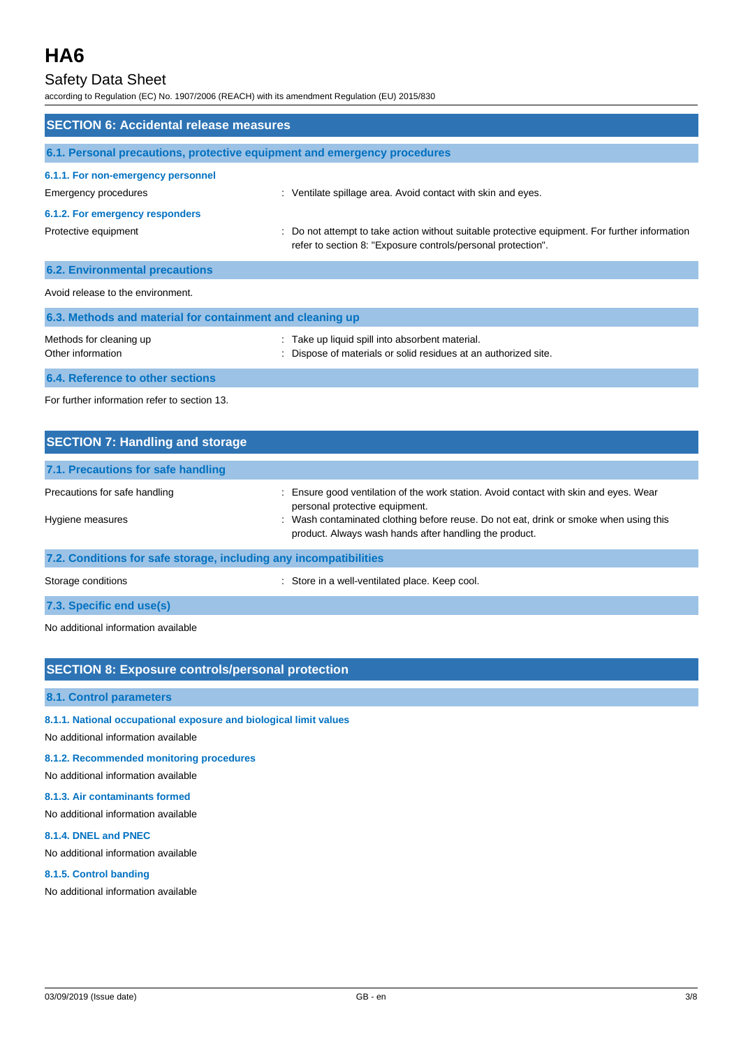### Safety Data Sheet

according to Regulation (EC) No. 1907/2006 (REACH) with its amendment Regulation (EU) 2015/830

| <b>SECTION 6: Accidental release measures</b>                            |                                                                                                                                                                |
|--------------------------------------------------------------------------|----------------------------------------------------------------------------------------------------------------------------------------------------------------|
| 6.1. Personal precautions, protective equipment and emergency procedures |                                                                                                                                                                |
| 6.1.1. For non-emergency personnel<br>Emergency procedures               | : Ventilate spillage area. Avoid contact with skin and eyes.                                                                                                   |
| 6.1.2. For emergency responders                                          |                                                                                                                                                                |
| Protective equipment                                                     | : Do not attempt to take action without suitable protective equipment. For further information<br>refer to section 8: "Exposure controls/personal protection". |
| <b>6.2. Environmental precautions</b>                                    |                                                                                                                                                                |
| Avoid release to the environment.                                        |                                                                                                                                                                |
| 6.3. Methods and material for containment and cleaning up                |                                                                                                                                                                |
| Methods for cleaning up<br>Other information                             | : Take up liquid spill into absorbent material.<br>Dispose of materials or solid residues at an authorized site.                                               |
| 6.4. Reference to other sections                                         |                                                                                                                                                                |
|                                                                          |                                                                                                                                                                |

For further information refer to section 13.

| <b>SECTION 7: Handling and storage</b>                            |                                                                                                                                                 |
|-------------------------------------------------------------------|-------------------------------------------------------------------------------------------------------------------------------------------------|
| 7.1. Precautions for safe handling                                |                                                                                                                                                 |
| Precautions for safe handling                                     | : Ensure good ventilation of the work station. Avoid contact with skin and eyes. Wear<br>personal protective equipment.                         |
| Hygiene measures                                                  | : Wash contaminated clothing before reuse. Do not eat, drink or smoke when using this<br>product. Always wash hands after handling the product. |
| 7.2. Conditions for safe storage, including any incompatibilities |                                                                                                                                                 |

Storage conditions **Storage conditions** : Store in a well-ventilated place. Keep cool.

**7.3. Specific end use(s)**

No additional information available

### **SECTION 8: Exposure controls/personal protection**

#### **8.1. Control parameters**

#### **8.1.1. National occupational exposure and biological limit values**

No additional information available

#### **8.1.2. Recommended monitoring procedures**

No additional information available

#### **8.1.3. Air contaminants formed**

No additional information available

#### **8.1.4. DNEL and PNEC**

No additional information available

#### **8.1.5. Control banding**

No additional information available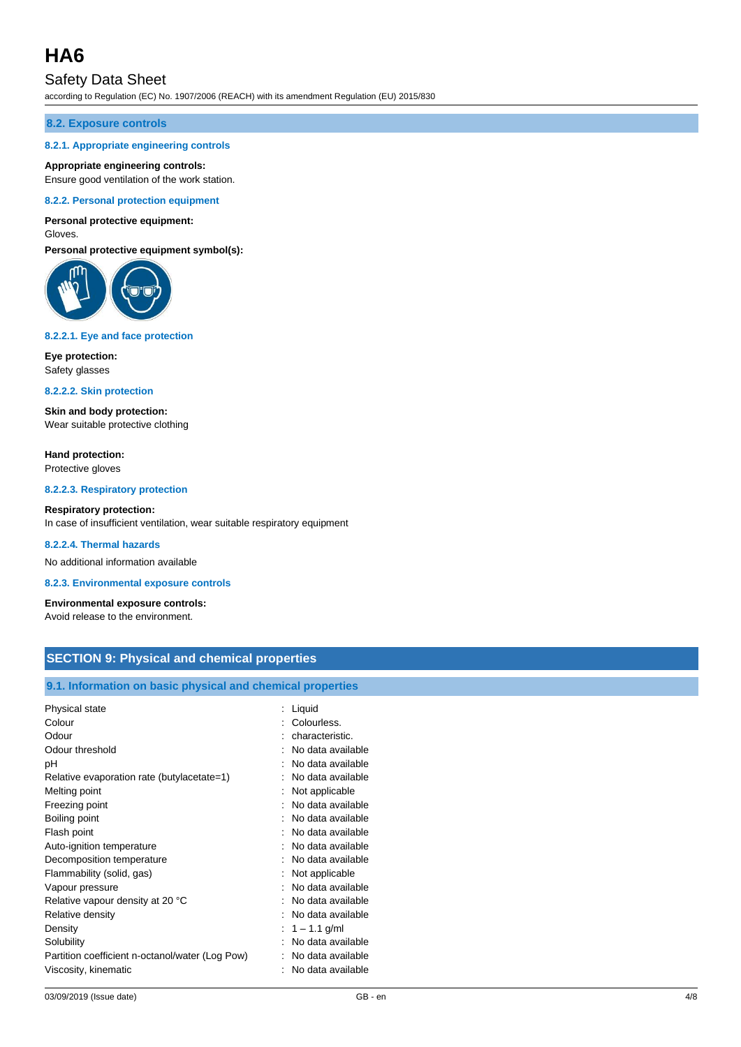### Safety Data Sheet

according to Regulation (EC) No. 1907/2006 (REACH) with its amendment Regulation (EU) 2015/830

#### **8.2. Exposure controls**

#### **8.2.1. Appropriate engineering controls**

#### **Appropriate engineering controls:**

Ensure good ventilation of the work station.

#### **8.2.2. Personal protection equipment**

#### **Personal protective equipment:**

Gloves.

**Personal protective equipment symbol(s):**



#### **8.2.2.1. Eye and face protection**

**Eye protection:** Safety glasses

**8.2.2.2. Skin protection**

**Skin and body protection:** Wear suitable protective clothing

**Hand protection:** Protective gloves

**8.2.2.3. Respiratory protection**

#### **Respiratory protection:**

In case of insufficient ventilation, wear suitable respiratory equipment

#### **8.2.2.4. Thermal hazards**

No additional information available

**8.2.3. Environmental exposure controls**

**Environmental exposure controls:** Avoid release to the environment.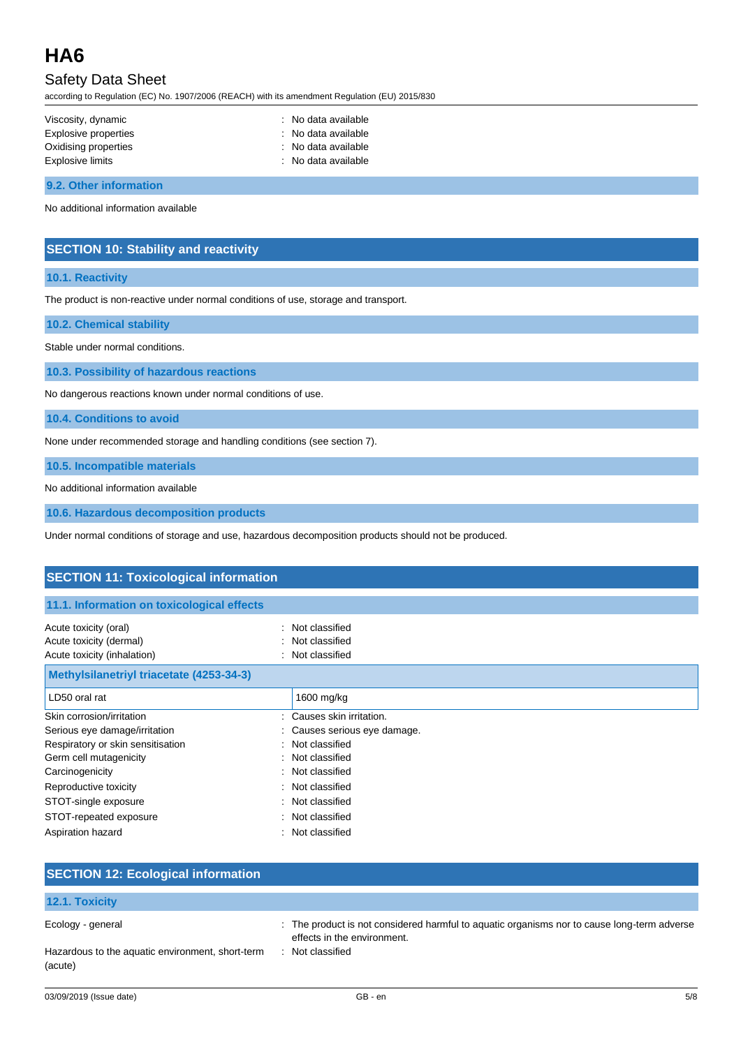## Safety Data Sheet

according to Regulation (EC) No. 1907/2006 (REACH) with its amendment Regulation (EU) 2015/830

| Viscosity, dynamic   | : No data available |
|----------------------|---------------------|
| Explosive properties | : No data available |
| Oxidising properties | : No data available |
| Explosive limits     | : No data available |
|                      |                     |

**9.2. Other information**

No additional information available

#### **SECTION 10: Stability and reactivity**

#### **10.1. Reactivity**

The product is non-reactive under normal conditions of use, storage and transport.

**10.2. Chemical stability**

Stable under normal conditions.

**10.3. Possibility of hazardous reactions**

No dangerous reactions known under normal conditions of use.

**10.4. Conditions to avoid**

None under recommended storage and handling conditions (see section 7).

**10.5. Incompatible materials**

No additional information available

**10.6. Hazardous decomposition products**

Under normal conditions of storage and use, hazardous decomposition products should not be produced.

| <b>SECTION 11: Toxicological information</b>                                    |    |                                                          |
|---------------------------------------------------------------------------------|----|----------------------------------------------------------|
| 11.1. Information on toxicological effects                                      |    |                                                          |
| Acute toxicity (oral)<br>Acute toxicity (dermal)<br>Acute toxicity (inhalation) |    | : Not classified<br>: Not classified<br>: Not classified |
| Methylsilanetriyl triacetate (4253-34-3)                                        |    |                                                          |
| LD50 oral rat                                                                   |    | 1600 mg/kg                                               |
| Skin corrosion/irritation                                                       | ۰. | Causes skin irritation.                                  |
| Serious eye damage/irritation                                                   |    | Causes serious eye damage.                               |
| Respiratory or skin sensitisation                                               |    | : Not classified                                         |
| Germ cell mutagenicity                                                          |    | : Not classified                                         |
| Carcinogenicity                                                                 |    | : Not classified                                         |
| Reproductive toxicity                                                           |    | : Not classified                                         |
| STOT-single exposure                                                            |    | : Not classified                                         |
| STOT-repeated exposure                                                          |    | : Not classified                                         |
| Aspiration hazard                                                               |    | : Not classified                                         |

| <b>SECTION 12: Ecological information</b>                   |                                                                                                                            |
|-------------------------------------------------------------|----------------------------------------------------------------------------------------------------------------------------|
| 12.1. Toxicity                                              |                                                                                                                            |
| Ecology - general                                           | : The product is not considered harmful to aquatic organisms nor to cause long-term adverse<br>effects in the environment. |
| Hazardous to the aquatic environment, short-term<br>(acute) | : Not classified                                                                                                           |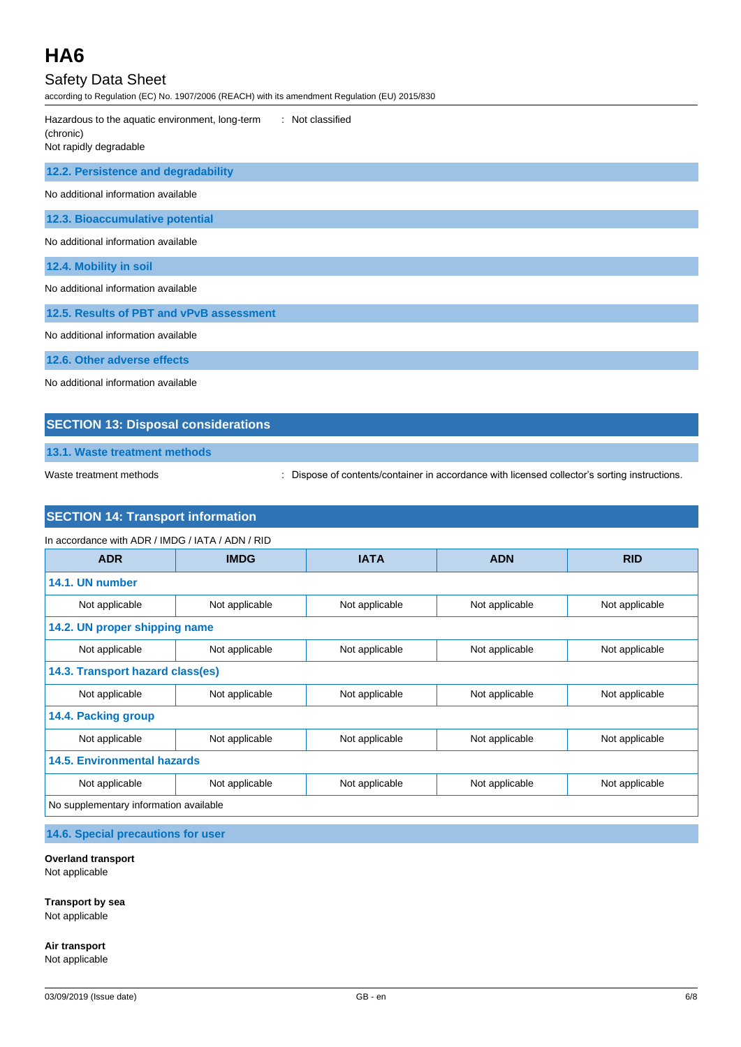## Safety Data Sheet

according to Regulation (EC) No. 1907/2006 (REACH) with its amendment Regulation (EU) 2015/830

| : Not classified<br>Hazardous to the aquatic environment, long-term<br>(chronic)<br>Not rapidly degradable |
|------------------------------------------------------------------------------------------------------------|
| 12.2. Persistence and degradability                                                                        |
| No additional information available                                                                        |
| 12.3. Bioaccumulative potential                                                                            |
| No additional information available                                                                        |
| 12.4. Mobility in soil                                                                                     |
| No additional information available                                                                        |
| 12.5. Results of PBT and vPvB assessment                                                                   |
| No additional information available                                                                        |
| 12.6. Other adverse effects                                                                                |
| No additional information available                                                                        |

#### **SECTION 13: Disposal considerations**

**13.1. Waste treatment methods**

Waste treatment methods : Dispose of contents/container in accordance with licensed collector's sorting instructions.

### **SECTION 14: Transport information**

| <b>ADR</b>                             | <b>IMDG</b>    | <b>IATA</b>    | <b>ADN</b>     | <b>RID</b>     |
|----------------------------------------|----------------|----------------|----------------|----------------|
| 14.1. UN number                        |                |                |                |                |
| Not applicable                         | Not applicable | Not applicable | Not applicable | Not applicable |
| 14.2. UN proper shipping name          |                |                |                |                |
| Not applicable                         | Not applicable | Not applicable | Not applicable | Not applicable |
| 14.3. Transport hazard class(es)       |                |                |                |                |
| Not applicable                         | Not applicable | Not applicable | Not applicable | Not applicable |
| 14.4. Packing group                    |                |                |                |                |
| Not applicable                         | Not applicable | Not applicable | Not applicable | Not applicable |
| <b>14.5. Environmental hazards</b>     |                |                |                |                |
| Not applicable                         | Not applicable | Not applicable | Not applicable | Not applicable |
| No supplementary information available |                |                |                |                |

**14.6. Special precautions for user**

#### **Overland transport**

Not applicable

**Transport by sea**

Not applicable

**Air transport** Not applicable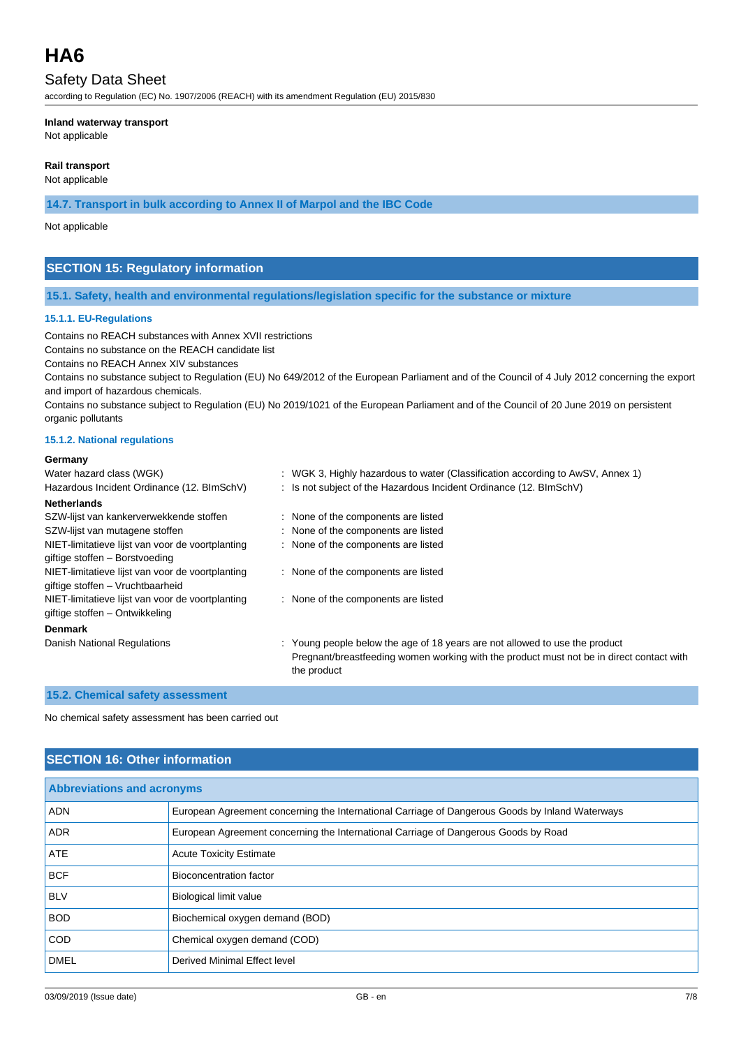### Safety Data Sheet

according to Regulation (EC) No. 1907/2006 (REACH) with its amendment Regulation (EU) 2015/830

#### **Inland waterway transport**

Not applicable

#### **Rail transport**

Not applicable

**14.7. Transport in bulk according to Annex II of Marpol and the IBC Code**

#### Not applicable

#### **SECTION 15: Regulatory information**

#### **15.1. Safety, health and environmental regulations/legislation specific for the substance or mixture**

#### **15.1.1. EU-Regulations**

Contains no REACH substances with Annex XVII restrictions

Contains no substance on the REACH candidate list

Contains no REACH Annex XIV substances

Contains no substance subject to Regulation (EU) No 649/2012 of the European Parliament and of the Council of 4 July 2012 concerning the export and import of hazardous chemicals.

Contains no substance subject to Regulation (EU) No 2019/1021 of the European Parliament and of the Council of 20 June 2019 on persistent organic pollutants

#### **15.1.2. National regulations**

#### **Germany**

| Water hazard class (WGK)                         | : WGK 3, Highly hazardous to water (Classification according to AwSV, Annex 1)                          |
|--------------------------------------------------|---------------------------------------------------------------------------------------------------------|
| Hazardous Incident Ordinance (12. BImSchV)       | : Is not subject of the Hazardous Incident Ordinance (12. BImSchV)                                      |
| <b>Netherlands</b>                               |                                                                                                         |
| SZW-lijst van kankerverwekkende stoffen          | : None of the components are listed                                                                     |
| SZW-lijst van mutagene stoffen                   | : None of the components are listed                                                                     |
| NIET-limitatieve lijst van voor de voortplanting | : None of the components are listed                                                                     |
| giftige stoffen - Borstvoeding                   |                                                                                                         |
| NIET-limitatieve lijst van voor de voortplanting | : None of the components are listed                                                                     |
| giftige stoffen - Vruchtbaarheid                 |                                                                                                         |
| NIET-limitatieve lijst van voor de voortplanting | : None of the components are listed                                                                     |
| giftige stoffen – Ontwikkeling                   |                                                                                                         |
| <b>Denmark</b>                                   |                                                                                                         |
| Danish National Regulations                      | : Young people below the age of 18 years are not allowed to use the product                             |
|                                                  | Pregnant/breastfeeding women working with the product must not be in direct contact with<br>the product |

#### **15.2. Chemical safety assessment**

No chemical safety assessment has been carried out

#### **SECTION 16: Other information**

| <b>Abbreviations and acronyms</b> |                                                                                                 |  |
|-----------------------------------|-------------------------------------------------------------------------------------------------|--|
| <b>ADN</b>                        | European Agreement concerning the International Carriage of Dangerous Goods by Inland Waterways |  |
| <b>ADR</b>                        | European Agreement concerning the International Carriage of Dangerous Goods by Road             |  |
| <b>ATE</b>                        | <b>Acute Toxicity Estimate</b>                                                                  |  |
| <b>BCF</b>                        | Bioconcentration factor                                                                         |  |
| <b>BLV</b>                        | Biological limit value                                                                          |  |
| <b>BOD</b>                        | Biochemical oxygen demand (BOD)                                                                 |  |
| <b>COD</b>                        | Chemical oxygen demand (COD)                                                                    |  |
| <b>DMEL</b>                       | Derived Minimal Effect level                                                                    |  |